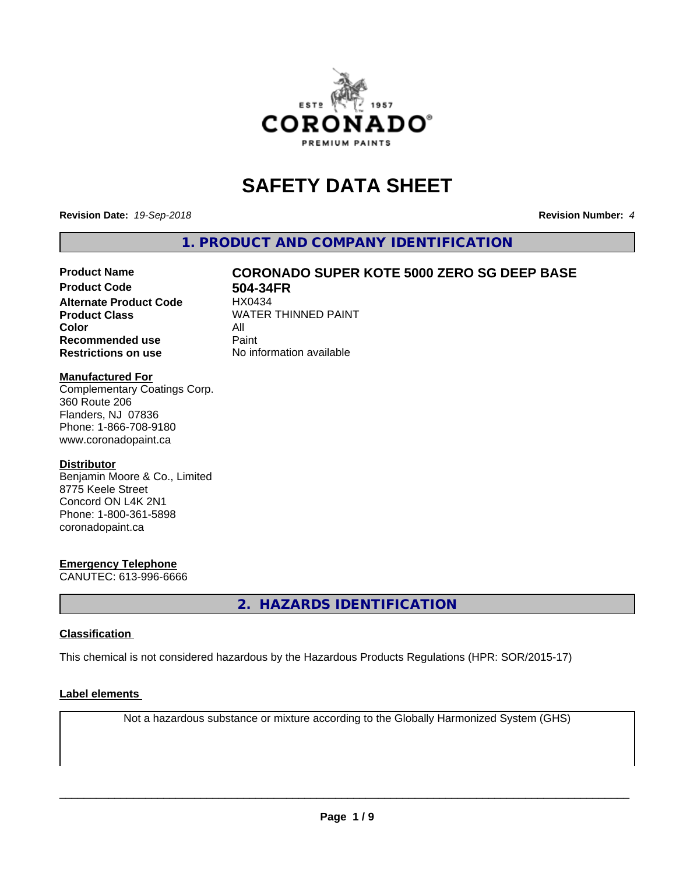

# **SAFETY DATA SHEET**

**Revision Date:** *19-Sep-2018* **Revision Number:** *4*

**1. PRODUCT AND COMPANY IDENTIFICATION**

# **Product Name CORONADO SUPER KOTE 5000 ZERO SG DEEP BASE**

**Product Code 504-34FR**<br>Alternate Product Code HX0434 **Alternate Product Code Color** All<br> **Recommended use** Paint **Recommended use Restrictions on use** No information available

**Product Class WATER THINNED PAINT** 

#### **Manufactured For**

Complementary Coatings Corp. 360 Route 206 Flanders, NJ 07836 Phone: 1-866-708-9180 www.coronadopaint.ca

#### **Distributor**

Benjamin Moore & Co., Limited 8775 Keele Street Concord ON L4K 2N1 Phone: 1-800-361-5898 coronadopaint.ca

#### **Emergency Telephone**

CANUTEC: 613-996-6666

**2. HAZARDS IDENTIFICATION**

#### **Classification**

This chemical is not considered hazardous by the Hazardous Products Regulations (HPR: SOR/2015-17)

#### **Label elements**

Not a hazardous substance or mixture according to the Globally Harmonized System (GHS)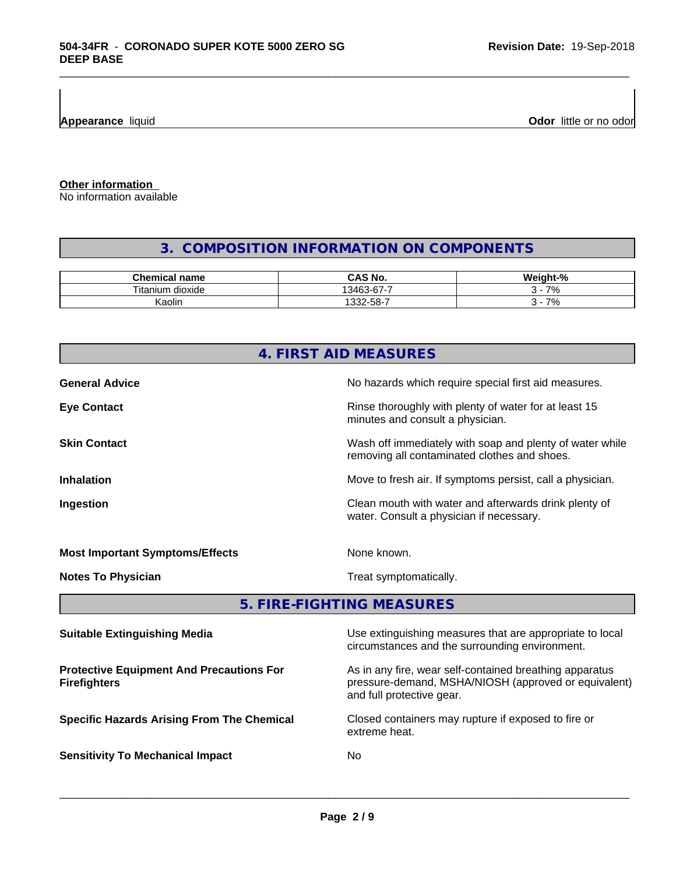**Appearance** liquid

**Odor** little or no odor

**Other information**

No information available

## **3. COMPOSITION INFORMATION ON COMPONENTS**

\_\_\_\_\_\_\_\_\_\_\_\_\_\_\_\_\_\_\_\_\_\_\_\_\_\_\_\_\_\_\_\_\_\_\_\_\_\_\_\_\_\_\_\_\_\_\_\_\_\_\_\_\_\_\_\_\_\_\_\_\_\_\_\_\_\_\_\_\_\_\_\_\_\_\_\_\_\_\_\_\_\_\_\_\_\_\_\_\_\_\_\_\_

| Chem<br>name<br>emical            | N0<br>ں                             | <br>$\mathbf{a}$<br>.NI 6<br>$\sqrt{2}$ |
|-----------------------------------|-------------------------------------|-----------------------------------------|
| ÷.<br>ı dioxide<br>litani<br>ilim | . .<br>$\sim$<br>3463<br>$5 - r$    | 70                                      |
| Kaolin                            | $ \sim$<br>$\sim$<br>--<br>ູນບ<br>ື | 70<br>$\prime$                          |

# **4. FIRST AID MEASURES General Advice General Advice No hazards which require special first aid measures. Eye Contact Exercise 20 All 20 All 20 All 20 All 20 All 20 All 20 All 20 All 20 All 20 All 20 All 20 All 20 All 20 All 20 All 20 All 20 All 20 All 20 All 20 All 20 All 20 All 20 All 20 All 20 All 20 All 20 All 20 All 20** minutes and consult a physician. **Skin Contact** Same of the Mash off immediately with soap and plenty of water while removing all contaminated clothes and shoes. **Inhalation Inhalation Move to fresh air.** If symptoms persist, call a physician. **Ingestion Ingestion Clean mouth with water and afterwards drink plenty of** water. Consult a physician if necessary. **Most Important Symptoms/Effects** None known. **Notes To Physician** Motes To Physician Treat symptomatically. **5. FIRE-FIGHTING MEASURES**

| <b>Suitable Extinguishing Media</b>                                    | Use extinguishing measures that are appropriate to local<br>circumstances and the surrounding environment.                                   |
|------------------------------------------------------------------------|----------------------------------------------------------------------------------------------------------------------------------------------|
| <b>Protective Equipment And Precautions For</b><br><b>Firefighters</b> | As in any fire, wear self-contained breathing apparatus<br>pressure-demand, MSHA/NIOSH (approved or equivalent)<br>and full protective gear. |
| <b>Specific Hazards Arising From The Chemical</b>                      | Closed containers may rupture if exposed to fire or<br>extreme heat.                                                                         |
| <b>Sensitivity To Mechanical Impact</b>                                | No.                                                                                                                                          |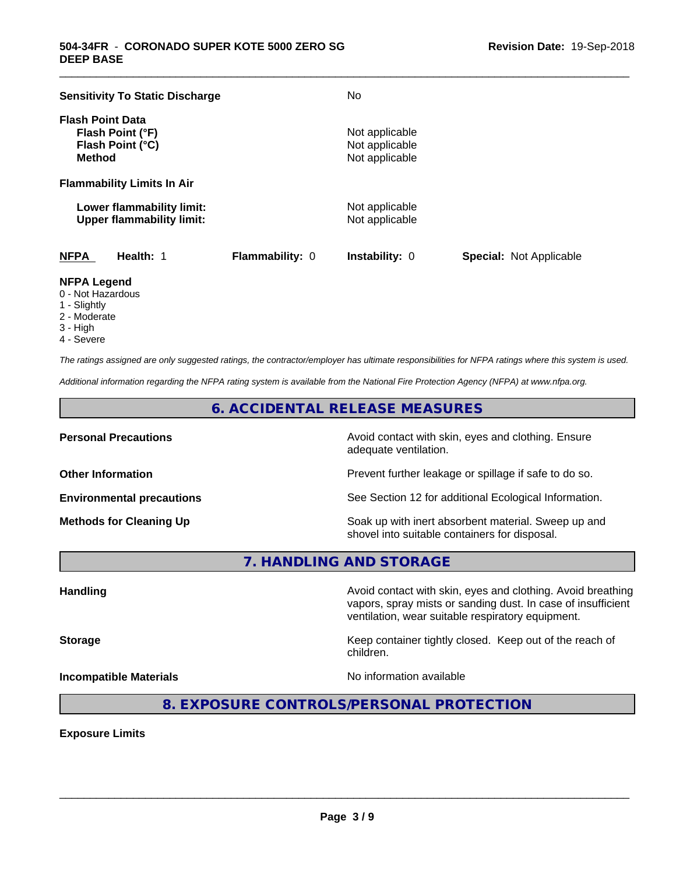| <b>Sensitivity To Static Discharge</b>                                           |                        | No                                                 |                                |
|----------------------------------------------------------------------------------|------------------------|----------------------------------------------------|--------------------------------|
| <b>Flash Point Data</b><br>Flash Point (°F)<br>Flash Point (°C)<br><b>Method</b> |                        | Not applicable<br>Not applicable<br>Not applicable |                                |
| <b>Flammability Limits In Air</b>                                                |                        |                                                    |                                |
| Lower flammability limit:<br><b>Upper flammability limit:</b>                    |                        | Not applicable<br>Not applicable                   |                                |
| <b>NFPA</b><br>Health: 1                                                         | <b>Flammability: 0</b> | <b>Instability: 0</b>                              | <b>Special: Not Applicable</b> |

\_\_\_\_\_\_\_\_\_\_\_\_\_\_\_\_\_\_\_\_\_\_\_\_\_\_\_\_\_\_\_\_\_\_\_\_\_\_\_\_\_\_\_\_\_\_\_\_\_\_\_\_\_\_\_\_\_\_\_\_\_\_\_\_\_\_\_\_\_\_\_\_\_\_\_\_\_\_\_\_\_\_\_\_\_\_\_\_\_\_\_\_\_

#### **NFPA Legend**

- 0 Not Hazardous
- 1 Slightly
- 2 Moderate
- 3 High
- 4 Severe

*The ratings assigned are only suggested ratings, the contractor/employer has ultimate responsibilities for NFPA ratings where this system is used.*

*Additional information regarding the NFPA rating system is available from the National Fire Protection Agency (NFPA) at www.nfpa.org.*

#### **6. ACCIDENTAL RELEASE MEASURES**

**Personal Precautions Precautions** Avoid contact with skin, eyes and clothing. Ensure adequate ventilation.

**Other Information Other Information Prevent further leakage or spillage if safe to do so.** 

**Environmental precautions** See Section 12 for additional Ecological Information.

**Methods for Cleaning Up Example 20 Soak** up with inert absorbent material. Sweep up and shovel into suitable containers for disposal.

vapors, spray mists or sanding dust. In case of insufficient

**7. HANDLING AND STORAGE**

**Handling Handling Avoid contact with skin, eyes and clothing. Avoid breathing** 

**Storage Keep container tightly closed.** Keep out of the reach of children.

ventilation, wear suitable respiratory equipment.

**Incompatible Materials Incompatible Materials No information available** 

 $\overline{\phantom{a}}$  ,  $\overline{\phantom{a}}$  ,  $\overline{\phantom{a}}$  ,  $\overline{\phantom{a}}$  ,  $\overline{\phantom{a}}$  ,  $\overline{\phantom{a}}$  ,  $\overline{\phantom{a}}$  ,  $\overline{\phantom{a}}$  ,  $\overline{\phantom{a}}$  ,  $\overline{\phantom{a}}$  ,  $\overline{\phantom{a}}$  ,  $\overline{\phantom{a}}$  ,  $\overline{\phantom{a}}$  ,  $\overline{\phantom{a}}$  ,  $\overline{\phantom{a}}$  ,  $\overline{\phantom{a}}$ 

**8. EXPOSURE CONTROLS/PERSONAL PROTECTION**

**Exposure Limits**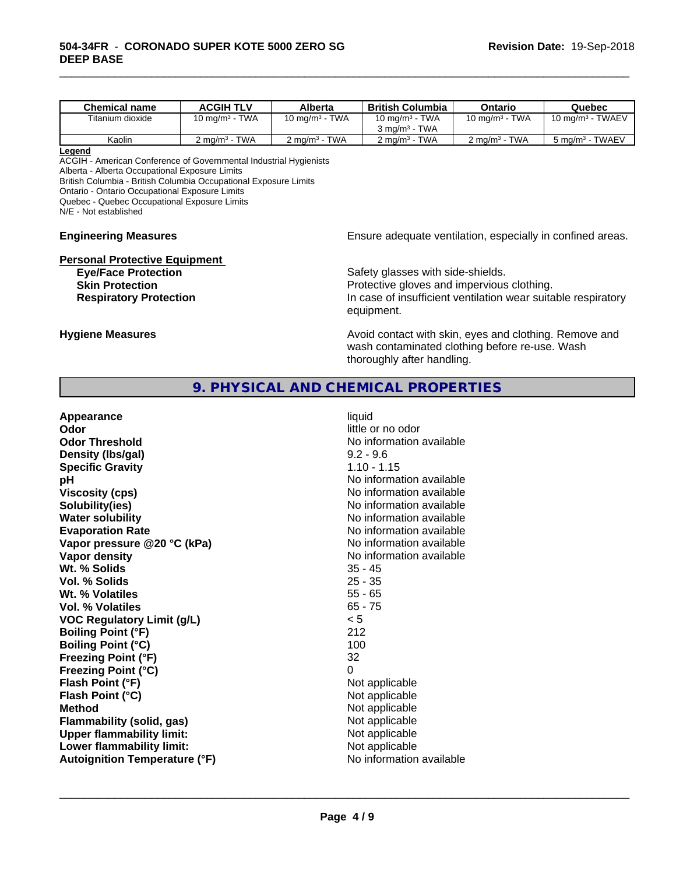| <b>Chemical name</b> | <b>ACGIH TLV</b>                     | Alberta                                         | <b>British Columbia</b>                      | Ontario                                    | Quebec                                         |
|----------------------|--------------------------------------|-------------------------------------------------|----------------------------------------------|--------------------------------------------|------------------------------------------------|
| Titanium dioxide     | <b>TWA</b><br>10 mg/m <sup>3</sup> - | <b>TWA</b><br>10 mg/m <sup>3</sup> - $\sqrt{ }$ | 10 mg/m $3$ - TWA                            | 10 mg/m $3$ - TWA                          | TWAEV<br>10 mg/m <sup>3</sup> - $\overline{a}$ |
|                      |                                      |                                                 | <b>TWA</b><br>$3 \text{ ma/m}^3$ - $\bar{ }$ |                                            |                                                |
| Kaolin               | <b>TWA</b><br>$2 \text{ mg/m}^3$     | <b>TWA</b><br>$2 \text{ mg/m}^3$                | <b>TWA</b><br>$2 \text{ mg/m}^3$ -           | <b>TWA</b><br>$\angle$ mg/m <sup>3</sup> - | 5 mg/m <sup>3</sup> - TWAEV                    |

\_\_\_\_\_\_\_\_\_\_\_\_\_\_\_\_\_\_\_\_\_\_\_\_\_\_\_\_\_\_\_\_\_\_\_\_\_\_\_\_\_\_\_\_\_\_\_\_\_\_\_\_\_\_\_\_\_\_\_\_\_\_\_\_\_\_\_\_\_\_\_\_\_\_\_\_\_\_\_\_\_\_\_\_\_\_\_\_\_\_\_\_\_

#### **Legend**

ACGIH - American Conference of Governmental Industrial Hygienists Alberta - Alberta Occupational Exposure Limits British Columbia - British Columbia Occupational Exposure Limits Ontario - Ontario Occupational Exposure Limits Quebec - Quebec Occupational Exposure Limits

N/E - Not established

#### **Engineering Measures Engineering Measures Engineering Measures Ensure adequate ventilation, especially in confined areas.**

# **Personal Protective Equipment**<br>**Eye/Face Protection**

Safety glasses with side-shields. **Skin Protection Protection Protective gloves and impervious clothing. Respiratory Protection In case of insufficient ventilation wear suitable respiratory** equipment.

**Hygiene Measures Avoid contact with skin, eyes and clothing. Remove and Avoid contact with skin, eyes and clothing. Remove and** wash contaminated clothing before re-use. Wash thoroughly after handling.

#### **9. PHYSICAL AND CHEMICAL PROPERTIES**

| Appearance                           | liquid                   |
|--------------------------------------|--------------------------|
| Odor                                 | little or no odor        |
| <b>Odor Threshold</b>                | No information available |
| Density (Ibs/gal)                    | $9.2 - 9.6$              |
| <b>Specific Gravity</b>              | $1.10 - 1.15$            |
| рH                                   | No information available |
| <b>Viscosity (cps)</b>               | No information available |
| Solubility(ies)                      | No information available |
| <b>Water solubility</b>              | No information available |
| <b>Evaporation Rate</b>              | No information available |
| Vapor pressure @20 °C (kPa)          | No information available |
| Vapor density                        | No information available |
| Wt. % Solids                         | $35 - 45$                |
| Vol. % Solids                        | $25 - 35$                |
| Wt. % Volatiles                      | $55 - 65$                |
| Vol. % Volatiles                     | $65 - 75$                |
| <b>VOC Regulatory Limit (g/L)</b>    | < 5                      |
| <b>Boiling Point (°F)</b>            | 212                      |
| <b>Boiling Point (°C)</b>            | 100                      |
| <b>Freezing Point (°F)</b>           | 32                       |
| <b>Freezing Point (°C)</b>           | 0                        |
| Flash Point (°F)                     | Not applicable           |
| Flash Point (°C)                     | Not applicable           |
| <b>Method</b>                        | Not applicable           |
| Flammability (solid, gas)            | Not applicable           |
| <b>Upper flammability limit:</b>     | Not applicable           |
| Lower flammability limit:            | Not applicable           |
| <b>Autoignition Temperature (°F)</b> | No information available |
|                                      |                          |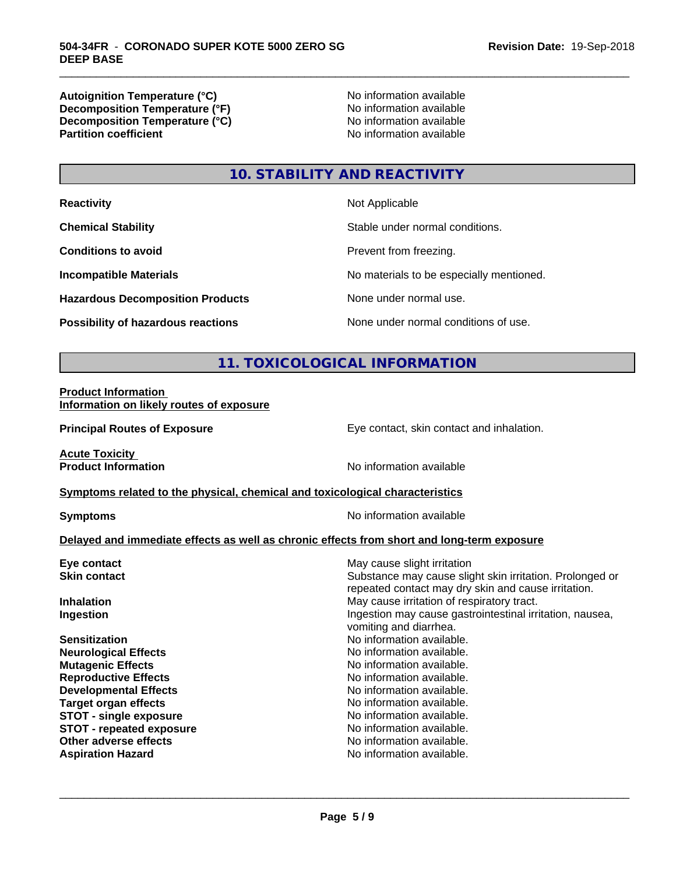**Autoignition Temperature (°C)**<br> **Decomposition Temperature (°F)** No information available **Decomposition Temperature (°F)**<br> **Decomposition Temperature (°C)**<br>
No information available **Decomposition Temperature (°C) Partition coefficient** 

\_\_\_\_\_\_\_\_\_\_\_\_\_\_\_\_\_\_\_\_\_\_\_\_\_\_\_\_\_\_\_\_\_\_\_\_\_\_\_\_\_\_\_\_\_\_\_\_\_\_\_\_\_\_\_\_\_\_\_\_\_\_\_\_\_\_\_\_\_\_\_\_\_\_\_\_\_\_\_\_\_\_\_\_\_\_\_\_\_\_\_\_\_

## **10. STABILITY AND REACTIVITY**

| <b>Reactivity</b>                         | Not Applicable                           |
|-------------------------------------------|------------------------------------------|
| <b>Chemical Stability</b>                 | Stable under normal conditions.          |
| <b>Conditions to avoid</b>                | Prevent from freezing.                   |
| <b>Incompatible Materials</b>             | No materials to be especially mentioned. |
| <b>Hazardous Decomposition Products</b>   | None under normal use.                   |
| <b>Possibility of hazardous reactions</b> | None under normal conditions of use.     |

## **11. TOXICOLOGICAL INFORMATION**

#### **Product Information Information on likely routes of exposure**

**Principal Routes of Exposure Exposure** Eye contact, skin contact and inhalation.

**Acute Toxicity** 

**Product Information Internation International Contract Contract Area Mondaterry Area Mondaterry Area Mondaterry Area Mondaterry Area Mondaterry Area Mondaterry Area Mondaterry Area Mondaterry Area Mondaterry Area Mond** 

#### **Symptoms** related to the physical, chemical and toxicological characteristics

**Symptoms** No information available

#### **Delayed and immediate effects as well as chronic effects from short and long-term exposure**

| May cause slight irritation                                                                                     |
|-----------------------------------------------------------------------------------------------------------------|
| Substance may cause slight skin irritation. Prolonged or<br>repeated contact may dry skin and cause irritation. |
| May cause irritation of respiratory tract.                                                                      |
| Ingestion may cause gastrointestinal irritation, nausea,<br>vomiting and diarrhea.                              |
| No information available.                                                                                       |
| No information available.                                                                                       |
| No information available.                                                                                       |
| No information available.                                                                                       |
| No information available.                                                                                       |
| No information available.                                                                                       |
| No information available.                                                                                       |
| No information available.                                                                                       |
| No information available.                                                                                       |
| No information available.                                                                                       |
|                                                                                                                 |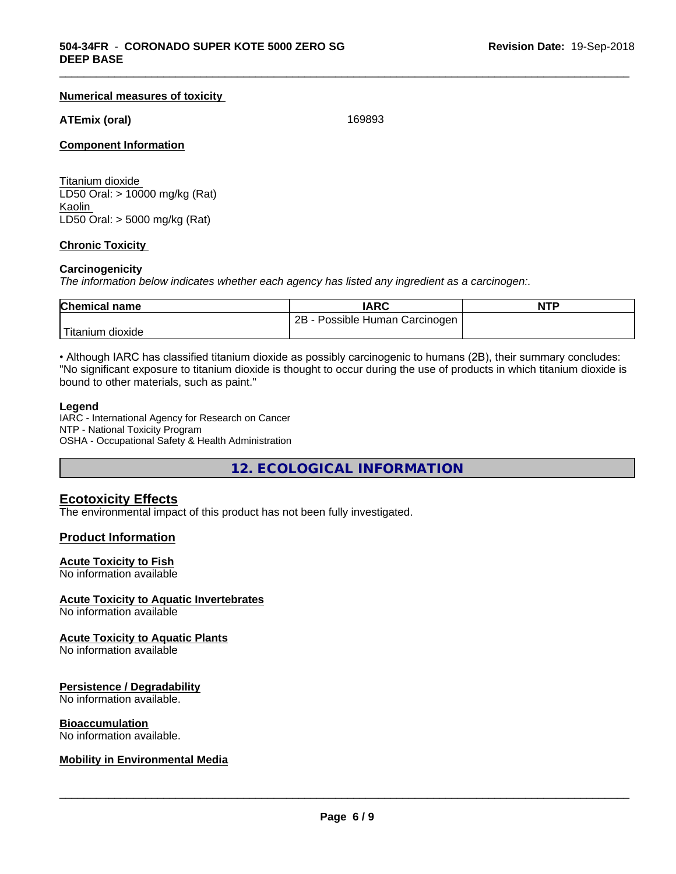#### **Numerical measures of toxicity**

#### **ATEmix (oral)** 169893

\_\_\_\_\_\_\_\_\_\_\_\_\_\_\_\_\_\_\_\_\_\_\_\_\_\_\_\_\_\_\_\_\_\_\_\_\_\_\_\_\_\_\_\_\_\_\_\_\_\_\_\_\_\_\_\_\_\_\_\_\_\_\_\_\_\_\_\_\_\_\_\_\_\_\_\_\_\_\_\_\_\_\_\_\_\_\_\_\_\_\_\_\_

#### **Component Information**

Titanium dioxide LD50 Oral: > 10000 mg/kg (Rat) Kaolin LD50 Oral: > 5000 mg/kg (Rat)

#### **Chronic Toxicity**

#### **Carcinogenicity**

*The information below indicateswhether each agency has listed any ingredient as a carcinogen:.*

| <b>Chemical name</b> | <b>IARC</b>                     | <b>NTP</b> |
|----------------------|---------------------------------|------------|
|                      | 2B<br>Possible Human Carcinogen |            |
| ı dioxide            |                                 |            |

• Although IARC has classified titanium dioxide as possibly carcinogenic to humans (2B), their summary concludes: "No significant exposure to titanium dioxide is thought to occur during the use of products in which titanium dioxide is bound to other materials, such as paint."

#### **Legend**

IARC - International Agency for Research on Cancer NTP - National Toxicity Program OSHA - Occupational Safety & Health Administration

**12. ECOLOGICAL INFORMATION**

#### **Ecotoxicity Effects**

The environmental impact of this product has not been fully investigated.

#### **Product Information**

#### **Acute Toxicity to Fish**

No information available

#### **Acute Toxicity to Aquatic Invertebrates**

No information available

#### **Acute Toxicity to Aquatic Plants**

No information available

#### **Persistence / Degradability**

No information available.

#### **Bioaccumulation**

No information available.

#### **Mobility in Environmental Media**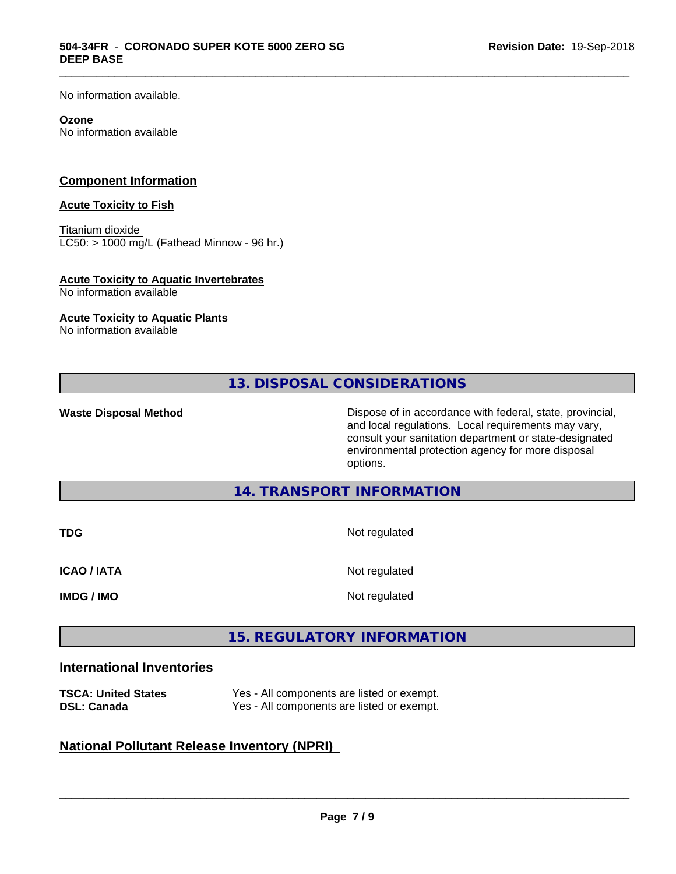No information available.

#### **Ozone**

No information available

#### **Component Information**

#### **Acute Toxicity to Fish**

Titanium dioxide  $LCS0:$  > 1000 mg/L (Fathead Minnow - 96 hr.)

#### **Acute Toxicity to Aquatic Invertebrates**

No information available

#### **Acute Toxicity to Aquatic Plants**

No information available

**13. DISPOSAL CONSIDERATIONS**

\_\_\_\_\_\_\_\_\_\_\_\_\_\_\_\_\_\_\_\_\_\_\_\_\_\_\_\_\_\_\_\_\_\_\_\_\_\_\_\_\_\_\_\_\_\_\_\_\_\_\_\_\_\_\_\_\_\_\_\_\_\_\_\_\_\_\_\_\_\_\_\_\_\_\_\_\_\_\_\_\_\_\_\_\_\_\_\_\_\_\_\_\_

**Waste Disposal Method** Dispose of in accordance with federal, state, provincial, and local regulations. Local requirements may vary, consult your sanitation department or state-designated environmental protection agency for more disposal options.

**14. TRANSPORT INFORMATION**

| <b>TDG</b>         | Not regulated |
|--------------------|---------------|
| <b>ICAO / IATA</b> | Not regulated |
| <b>IMDG / IMO</b>  | Not regulated |

#### **15. REGULATORY INFORMATION**

#### **International Inventories**

| <b>TSCA: United States</b> | Yes - All components are listed or exempt. |
|----------------------------|--------------------------------------------|
| <b>DSL: Canada</b>         | Yes - All components are listed or exempt. |

#### **National Pollutant Release Inventory (NPRI)**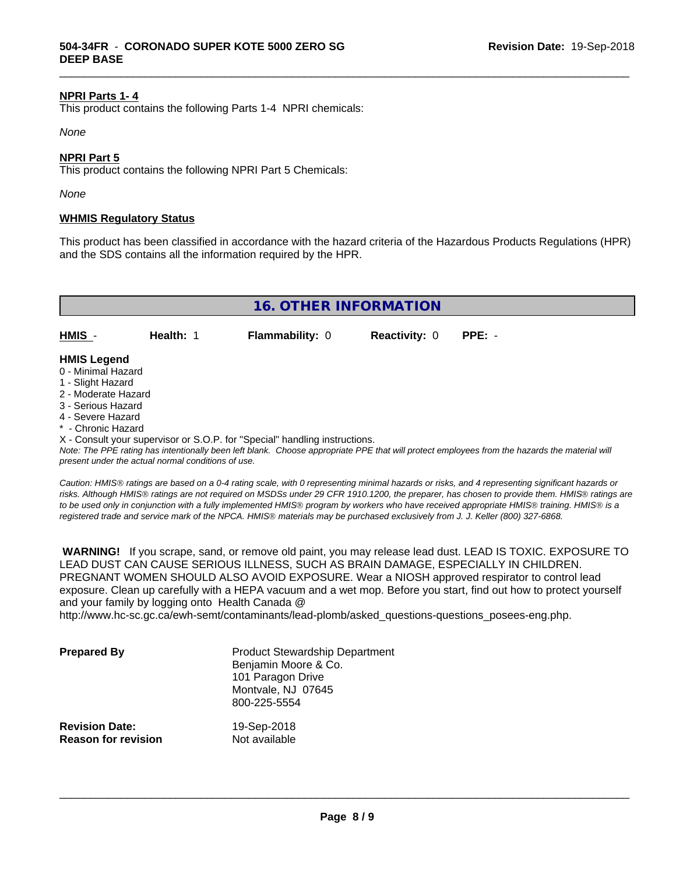#### **NPRI Parts 1- 4**

This product contains the following Parts 1-4 NPRI chemicals:

*None*

#### **NPRI Part 5**

This product contains the following NPRI Part 5 Chemicals:

*None*

#### **WHMIS Regulatory Status**

This product has been classified in accordance with the hazard criteria of the Hazardous Products Regulations (HPR) and the SDS contains all the information required by the HPR.

\_\_\_\_\_\_\_\_\_\_\_\_\_\_\_\_\_\_\_\_\_\_\_\_\_\_\_\_\_\_\_\_\_\_\_\_\_\_\_\_\_\_\_\_\_\_\_\_\_\_\_\_\_\_\_\_\_\_\_\_\_\_\_\_\_\_\_\_\_\_\_\_\_\_\_\_\_\_\_\_\_\_\_\_\_\_\_\_\_\_\_\_\_

| 16. OTHER INFORMATION                    |           |                        |                             |  |
|------------------------------------------|-----------|------------------------|-----------------------------|--|
| HMIS -                                   | Health: 1 | <b>Flammability: 0</b> | <b>Reactivity: 0 PPE: -</b> |  |
| <b>HMIS Legend</b><br>0 - Minimal Hazard |           |                        |                             |  |

- 
- 1 Slight Hazard
- 2 Moderate Hazard
- 3 Serious Hazard
- 4 Severe Hazard
- \* Chronic Hazard

X - Consult your supervisor or S.O.P. for "Special" handling instructions.

*Note: The PPE rating has intentionally been left blank. Choose appropriate PPE that will protect employees from the hazards the material will present under the actual normal conditions of use.*

*Caution: HMISÒ ratings are based on a 0-4 rating scale, with 0 representing minimal hazards or risks, and 4 representing significant hazards or risks. Although HMISÒ ratings are not required on MSDSs under 29 CFR 1910.1200, the preparer, has chosen to provide them. HMISÒ ratings are to be used only in conjunction with a fully implemented HMISÒ program by workers who have received appropriate HMISÒ training. HMISÒ is a registered trade and service mark of the NPCA. HMISÒ materials may be purchased exclusively from J. J. Keller (800) 327-6868.*

 **WARNING!** If you scrape, sand, or remove old paint, you may release lead dust. LEAD IS TOXIC. EXPOSURE TO LEAD DUST CAN CAUSE SERIOUS ILLNESS, SUCH AS BRAIN DAMAGE, ESPECIALLY IN CHILDREN. PREGNANT WOMEN SHOULD ALSO AVOID EXPOSURE.Wear a NIOSH approved respirator to control lead exposure. Clean up carefully with a HEPA vacuum and a wet mop. Before you start, find out how to protect yourself and your family by logging onto Health Canada @

http://www.hc-sc.gc.ca/ewh-semt/contaminants/lead-plomb/asked\_questions-questions\_posees-eng.php.

| <b>Prepared By</b>                                  | <b>Product Stewardship Department</b><br>Benjamin Moore & Co.<br>101 Paragon Drive<br>Montvale, NJ 07645<br>800-225-5554 |  |
|-----------------------------------------------------|--------------------------------------------------------------------------------------------------------------------------|--|
| <b>Revision Date:</b><br><b>Reason for revision</b> | 19-Sep-2018<br>Not available                                                                                             |  |